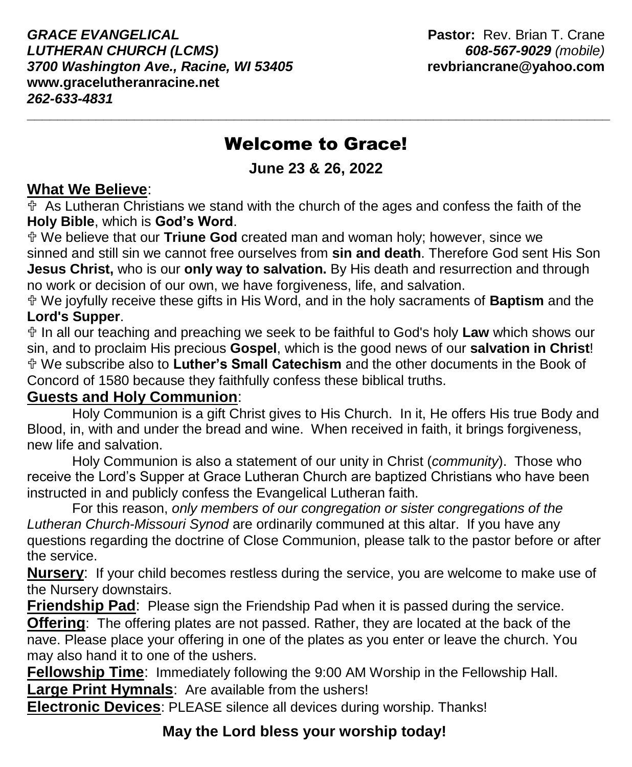*GRACE EVANGELICAL* **Pastor:** Rev. Brian T. Crane *LUTHERAN CHURCH (LCMS) 608-567-9029 (mobile) 3700 Washington Ave., Racine, WI 53405* **revbriancrane@yahoo.com www.gracelutheranracine.net** *262-633-4831*

# Welcome to Grace!

**\_\_\_\_\_\_\_\_\_\_\_\_\_\_\_\_\_\_\_\_\_\_\_\_\_\_\_\_\_\_\_\_\_\_\_\_\_\_\_\_\_\_\_\_\_\_\_\_\_\_\_\_\_\_\_\_\_\_\_\_\_\_\_\_\_\_\_\_\_\_\_\_\_\_\_\_**

**June 23 & 26, 2022**

### **What We Believe**:

 $\overline{\Phi}$  As Lutheran Christians we stand with the church of the ages and confess the faith of the **Holy Bible**, which is **God's Word**.

 We believe that our **Triune God** created man and woman holy; however, since we sinned and still sin we cannot free ourselves from **sin and death**. Therefore God sent His Son **Jesus Christ,** who is our **only way to salvation.** By His death and resurrection and through no work or decision of our own, we have forgiveness, life, and salvation.

 We joyfully receive these gifts in His Word, and in the holy sacraments of **Baptism** and the **Lord's Supper**.

 In all our teaching and preaching we seek to be faithful to God's holy **Law** which shows our sin, and to proclaim His precious **Gospel**, which is the good news of our **salvation in Christ**! We subscribe also to **Luther's Small Catechism** and the other documents in the Book of Concord of 1580 because they faithfully confess these biblical truths.

## **Guests and Holy Communion**:

Holy Communion is a gift Christ gives to His Church. In it, He offers His true Body and Blood, in, with and under the bread and wine. When received in faith, it brings forgiveness, new life and salvation.

Holy Communion is also a statement of our unity in Christ (*community*). Those who receive the Lord's Supper at Grace Lutheran Church are baptized Christians who have been instructed in and publicly confess the Evangelical Lutheran faith.

For this reason, *only members of our congregation or sister congregations of the Lutheran Church-Missouri Synod* are ordinarily communed at this altar. If you have any questions regarding the doctrine of Close Communion, please talk to the pastor before or after the service.

**Nursery**: If your child becomes restless during the service, you are welcome to make use of the Nursery downstairs.

**Friendship Pad**:Please sign the Friendship Pad when it is passed during the service.

**Offering**: The offering plates are not passed. Rather, they are located at the back of the nave. Please place your offering in one of the plates as you enter or leave the church. You may also hand it to one of the ushers.

**Fellowship Time**: Immediately following the 9:00 AM Worship in the Fellowship Hall.

**Large Print Hymnals**: Are available from the ushers!

**Electronic Devices**: PLEASE silence all devices during worship. Thanks!

# **May the Lord bless your worship today!**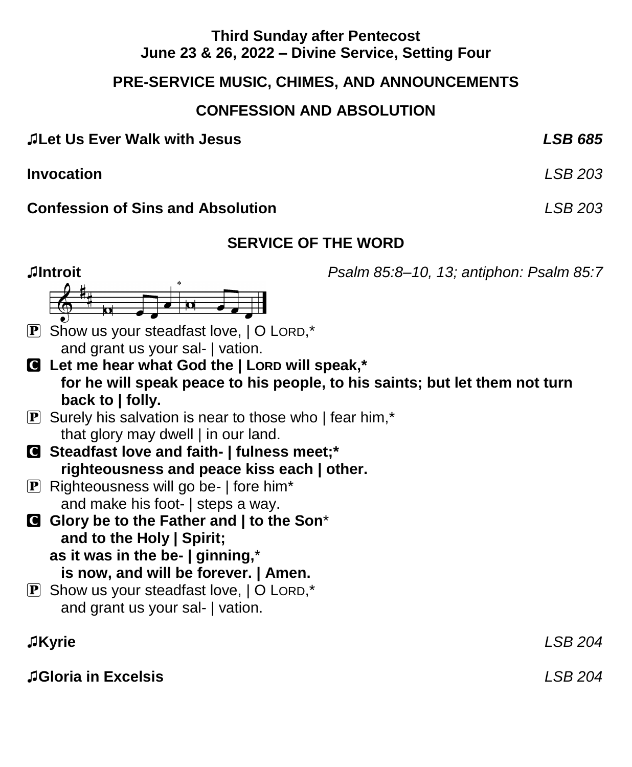## **Third Sunday after Pentecost June 23 & 26, 2022 – Divine Service, Setting Four**

## **PRE-SERVICE MUSIC, CHIMES, AND ANNOUNCEMENTS**

## **CONFESSION AND ABSOLUTION**

| JLet Us Ever Walk with Jesus | <b>LSB 685</b> |
|------------------------------|----------------|
|                              |                |

**Invocation** *LSB 203*

**Confession of Sins and Absolution** *LSB 203*

# **SERVICE OF THE WORD**

**♫Introit** *Psalm 85:8–10, 13; antiphon: Psalm 85:7*  $\mathbf{P}$  Show us your steadfast love,  $\mathbf{O}$  Lord,\* and grant us your sal- | vation. C **Let me hear what God the | LORD will speak,\* for he will speak peace to his people, to his saints; but let them not turn back to | folly.**  $\mathbf{P}$  Surely his salvation is near to those who I fear him,\* that glory may dwell | in our land. C **Steadfast love and faith- | fulness meet;\* righteousness and peace kiss each | other.**  $\boxed{\mathbf{P}}$  Righteousness will go be- | fore him\* and make his foot- | steps a way. C **Glory be to the Father and | to the Son**\* **and to the Holy | Spirit; as it was in the be- | ginning,**\* **is now, and will be forever. | Amen.**  $\mathbf{P}$  Show us your steadfast love,  $\mathbf{O}$  LORD,\* and grant us your sal- | vation. ♫**Kyrie** *LSB 204*

♫**Gloria in Excelsis** *LSB 204*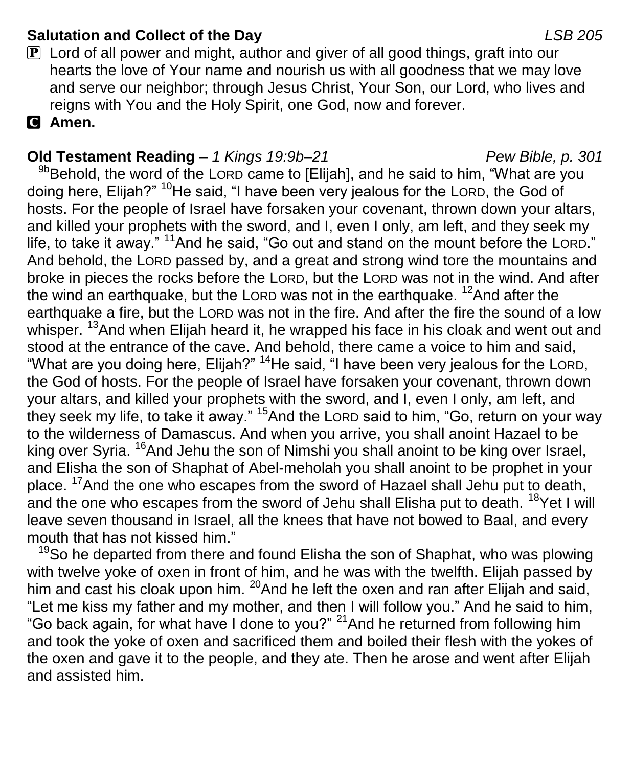## **Salutation and Collect of the Day** *LSB 205*

 $\mathbf{P}$  Lord of all power and might, author and giver of all good things, graft into our hearts the love of Your name and nourish us with all goodness that we may love and serve our neighbor; through Jesus Christ, Your Son, our Lord, who lives and reigns with You and the Holy Spirit, one God, now and forever.

C **Amen.**

## **Old Testament Reading** – *1 Kings 19:9b–21 Pew Bible, p. 301*

<sup>9b</sup>Behold, the word of the LORD came to [Elijah], and he said to him, "What are you doing here, Elijah?" <sup>10</sup>He said, "I have been very jealous for the LORD, the God of hosts. For the people of Israel have forsaken your covenant, thrown down your altars, and killed your prophets with the sword, and I, even I only, am left, and they seek my life, to take it away." <sup>11</sup>And he said, "Go out and stand on the mount before the LORD." And behold, the LORD passed by, and a great and strong wind tore the mountains and broke in pieces the rocks before the LORD, but the LORD was not in the wind. And after the wind an earthquake, but the LORD was not in the earthquake.  $12$ And after the earthquake a fire, but the LORD was not in the fire. And after the fire the sound of a low whisper. <sup>13</sup>And when Elijah heard it, he wrapped his face in his cloak and went out and stood at the entrance of the cave. And behold, there came a voice to him and said, "What are you doing here, Elijah?" <sup>14</sup>He said, "I have been very jealous for the LORD, the God of hosts. For the people of Israel have forsaken your covenant, thrown down your altars, and killed your prophets with the sword, and I, even I only, am left, and they seek my life, to take it away." <sup>15</sup>And the LORD said to him, "Go, return on your way to the wilderness of Damascus. And when you arrive, you shall anoint Hazael to be king over Syria. <sup>16</sup>And Jehu the son of Nimshi you shall anoint to be king over Israel, and Elisha the son of Shaphat of Abel-meholah you shall anoint to be prophet in your place. <sup>17</sup>And the one who escapes from the sword of Hazael shall Jehu put to death, and the one who escapes from the sword of Jehu shall Elisha put to death. <sup>18</sup>Yet I will leave seven thousand in Israel, all the knees that have not bowed to Baal, and every mouth that has not kissed him."

<sup>19</sup>So he departed from there and found Elisha the son of Shaphat, who was plowing with twelve yoke of oxen in front of him, and he was with the twelfth. Elijah passed by him and cast his cloak upon him.  $^{20}$  And he left the oxen and ran after Elijah and said, "Let me kiss my father and my mother, and then I will follow you." And he said to him, "Go back again, for what have I done to you?" <sup>21</sup>And he returned from following him and took the yoke of oxen and sacrificed them and boiled their flesh with the yokes of the oxen and gave it to the people, and they ate. Then he arose and went after Elijah and assisted him.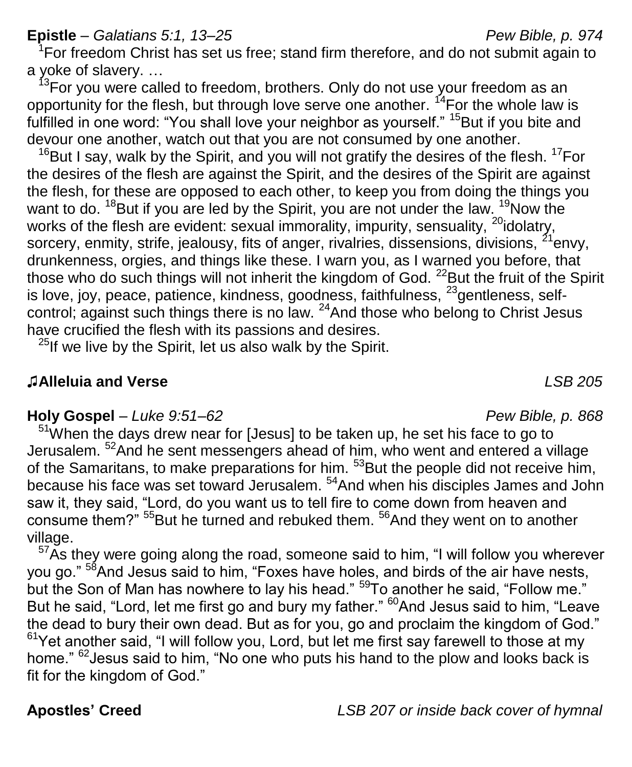## **Epistle** – *Galatians 5:1, 13–25 Pew Bible, p. 974*

 $1$ For freedom Christ has set us free; stand firm therefore, and do not submit again to

a yoke of slavery. ...<br><sup>13</sup>For you were called to freedom, brothers. Only do not use your freedom as an opportunity for the flesh, but through love serve one another.  $^{14}$  For the whole law is fulfilled in one word: "You shall love your neighbor as yourself." <sup>15</sup>But if you bite and devour one another, watch out that you are not consumed by one another.

 $16$ But I say, walk by the Spirit, and you will not gratify the desires of the flesh.  $17$ For the desires of the flesh are against the Spirit, and the desires of the Spirit are against the flesh, for these are opposed to each other, to keep you from doing the things you want to do.  $18$ But if you are led by the Spirit, you are not under the law.  $19$ Now the works of the flesh are evident: sexual immorality, impurity, sensuality, <sup>20</sup>idolatry, sorcery, enmity, strife, jealousy, fits of anger, rivalries, dissensions, divisions,  $^{21}$ envy, drunkenness, orgies, and things like these. I warn you, as I warned you before, that those who do such things will not inherit the kingdom of God. <sup>22</sup>But the fruit of the Spirit is love, joy, peace, patience, kindness, goodness, faithfulness, <sup>23</sup>gentleness, selfcontrol; against such things there is no law.  $^{24}$ And those who belong to Christ Jesus have crucified the flesh with its passions and desires.

 $25$ If we live by the Spirit, let us also walk by the Spirit.

### ♫**Alleluia and Verse** *LSB 205*

#### **Holy Gospel** – *Luke 9:51–62 Pew Bible, p. 868*

 $51$ When the days drew near for [Jesus] to be taken up, he set his face to go to Jerusalem. <sup>52</sup>And he sent messengers ahead of him, who went and entered a village of the Samaritans, to make preparations for him. <sup>53</sup>But the people did not receive him, because his face was set toward Jerusalem. <sup>54</sup>And when his disciples James and John saw it, they said, "Lord, do you want us to tell fire to come down from heaven and consume them?" <sup>55</sup>But he turned and rebuked them. <sup>56</sup>And they went on to another village.

 $57\text{As}$  they were going along the road, someone said to him, "I will follow you wherever you go." <sup>58</sup>And Jesus said to him, "Foxes have holes, and birds of the air have nests, but the Son of Man has nowhere to lay his head."  $597$ o another he said, "Follow me." But he said, "Lord, let me first go and bury my father." <sup>60</sup>And Jesus said to him, "Leave the dead to bury their own dead. But as for you, go and proclaim the kingdom of God."  $61$ Yet another said, "I will follow you, Lord, but let me first say farewell to those at my home." <sup>62</sup> Jesus said to him, "No one who puts his hand to the plow and looks back is fit for the kingdom of God."

**Apostles' Creed** *LSB 207 or inside back cover of hymnal*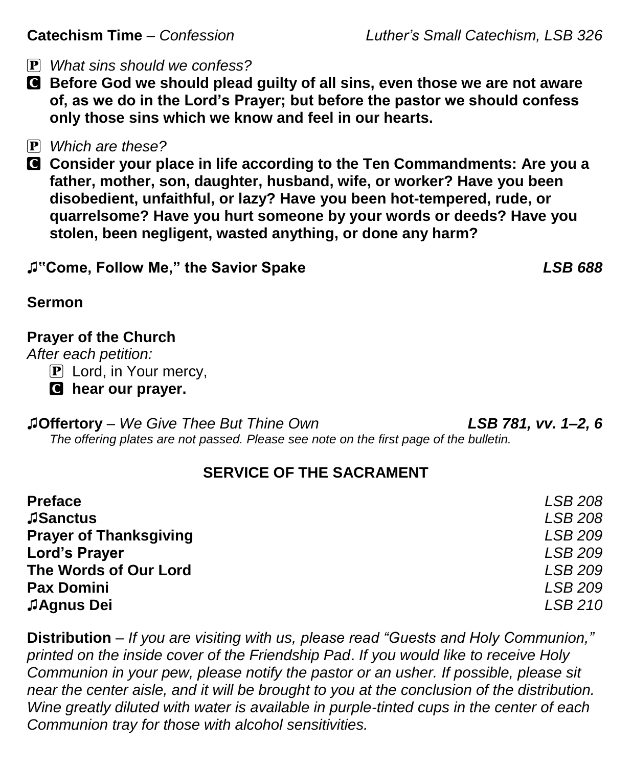P *What sins should we confess?*

- C **Before God we should plead guilty of all sins, even those we are not aware of, as we do in the Lord's Prayer; but before the pastor we should confess only those sins which we know and feel in our hearts.**
- P *Which are these?*
- C **Consider your place in life according to the Ten Commandments: Are you a father, mother, son, daughter, husband, wife, or worker? Have you been disobedient, unfaithful, or lazy? Have you been hot-tempered, rude, or quarrelsome? Have you hurt someone by your words or deeds? Have you stolen, been negligent, wasted anything, or done any harm?**

| J"Come, Follow Me," the Savior Spake | <b>LSB 688</b> |
|--------------------------------------|----------------|
|                                      |                |

## **Sermon**

## **Prayer of the Church**

*After each petition:*

**P** Lord, in Your mercy,

C **hear our prayer.**

♫**Offertory** – *We Give Thee But Thine Own LSB 781, vv. 1–2, 6 The offering plates are not passed. Please see note on the first page of the bulletin.*

## **SERVICE OF THE SACRAMENT**

| <b>Preface</b>                | LSB 208        |
|-------------------------------|----------------|
| <b>JSanctus</b>               | LSB 208        |
| <b>Prayer of Thanksgiving</b> | LSB 209        |
| Lord's Prayer                 | <b>LSB 209</b> |
| The Words of Our Lord         | <b>LSB 209</b> |
| <b>Pax Domini</b>             | LSB 209        |
| JAgnus Dei                    | LSB 210        |

**Distribution** – *If you are visiting with us, please read "Guests and Holy Communion," printed on the inside cover of the Friendship Pad*. *If you would like to receive Holy Communion in your pew, please notify the pastor or an usher. If possible, please sit near the center aisle, and it will be brought to you at the conclusion of the distribution. Wine greatly diluted with water is available in purple-tinted cups in the center of each Communion tray for those with alcohol sensitivities.*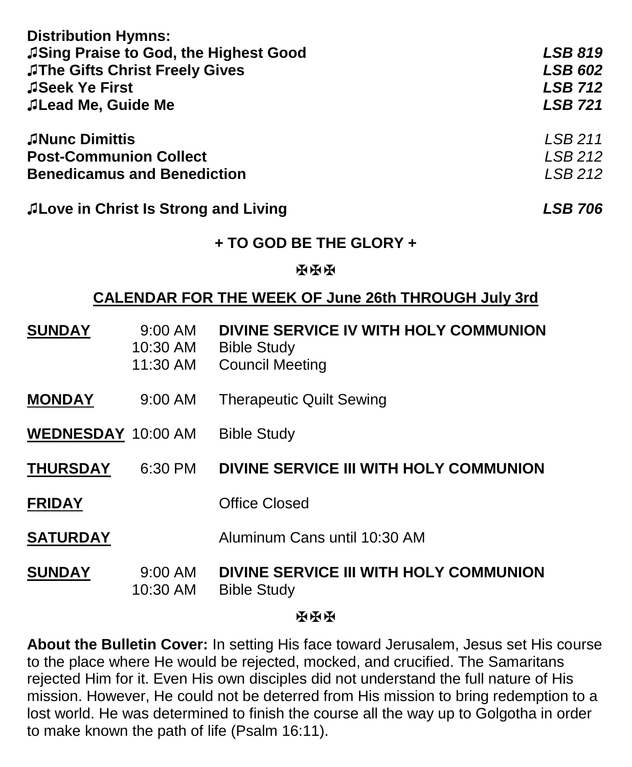| <b>Distribution Hymns:</b>                  |                |  |
|---------------------------------------------|----------------|--|
| JSing Praise to God, the Highest Good       | <b>LSB 819</b> |  |
| <b>JThe Gifts Christ Freely Gives</b>       | <b>LSB 602</b> |  |
| JSeek Ye First                              | <b>LSB 712</b> |  |
| JLead Me, Guide Me                          | <b>LSB 721</b> |  |
| JNunc Dimittis                              | LSB 211        |  |
| <b>Post-Communion Collect</b>               | LSB 212        |  |
| <b>Benedicamus and Benediction</b>          | LSB 212        |  |
| <b>ALove in Christ Is Strong and Living</b> | <b>LSB 706</b> |  |

## **+ TO GOD BE THE GLORY +**

#### **NNH**

#### **CALENDAR FOR THE WEEK OF June 26th THROUGH July 3rd**

| <b>SUNDAY</b>      | 9:00 AM<br>10:30 AM<br>11:30 AM | DIVINE SERVICE IV WITH HOLY COMMUNION<br><b>Bible Study</b><br><b>Council Meeting</b> |
|--------------------|---------------------------------|---------------------------------------------------------------------------------------|
| <b>MONDAY</b>      | $9:00$ AM                       | <b>Therapeutic Quilt Sewing</b>                                                       |
| WEDNESDAY 10:00 AM |                                 | <b>Bible Study</b>                                                                    |
| <b>THURSDAY</b>    | 6:30 PM                         | DIVINE SERVICE III WITH HOLY COMMUNION                                                |
| <b>FRIDAY</b>      |                                 | <b>Office Closed</b>                                                                  |
| <b>SATURDAY</b>    |                                 | Aluminum Cans until 10:30 AM                                                          |
| <b>SUNDAY</b>      | $9:00$ AM<br>10:30 AM           | DIVINE SERVICE III WITH HOLY COMMUNION<br><b>Bible Study</b>                          |

#### 原原医

**About the Bulletin Cover:** In setting His face toward Jerusalem, Jesus set His course to the place where He would be rejected, mocked, and crucified. The Samaritans rejected Him for it. Even His own disciples did not understand the full nature of His mission. However, He could not be deterred from His mission to bring redemption to a lost world. He was determined to finish the course all the way up to Golgotha in order to make known the path of life (Psalm 16:11).